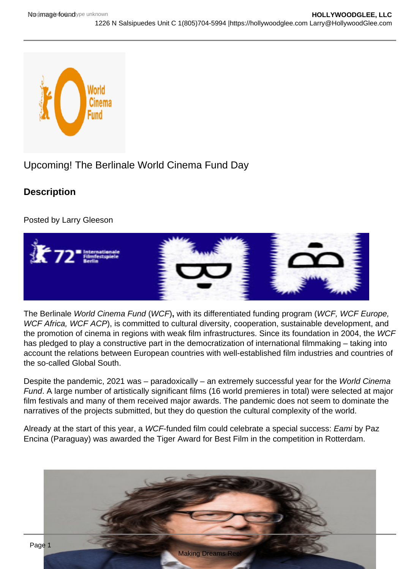## Upcoming! The Berlinale World Cinema Fund Day

**Description** 

Posted by Larry Gleeson

The Berlinale World Cinema Fund (WCF), with its differentiated funding program (WCF, WCF Europe, WCF Africa, WCF ACP), is committed to cultural diversity, cooperation, sustainable development, and the promotion of cinema in regions with weak film infrastructures. Since its foundation in 2004, the WCF has pledged to play a constructive part in the democratization of international filmmaking – taking into account the relations between European countries with well-established film industries and countries of the so-called Global South.

Despite the pandemic, 2021 was – paradoxically – an extremely successful year for the World Cinema Fund. A large number of artistically significant films (16 world premieres in total) were selected at major film festivals and many of them received major awards. The pandemic does not seem to dominate the narratives of the projects submitted, but they do question the cultural complexity of the world.

Already at the start of this year, a WCF-funded film could celebrate a special success: Eami by Paz Encina (Paraguay) was awarded the Tiger Award for Best Film in the competition in Rotterdam.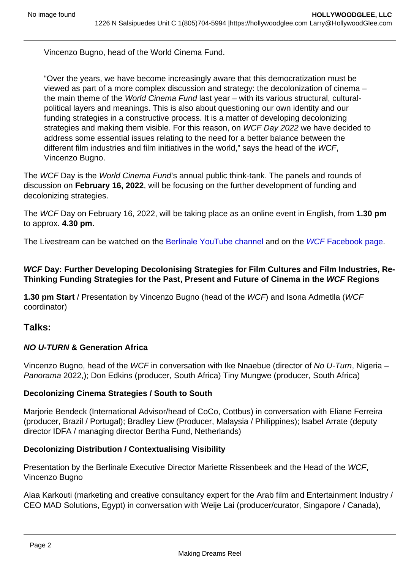Vincenzo Bugno, head of the World Cinema Fund.

"Over the years, we have become increasingly aware that this democratization must be viewed as part of a more complex discussion and strategy: the decolonization of cinema – the main theme of the World Cinema Fund last year – with its various structural, culturalpolitical layers and meanings. This is also about questioning our own identity and our funding strategies in a constructive process. It is a matter of developing decolonizing strategies and making them visible. For this reason, on WCF Day 2022 we have decided to address some essential issues relating to the need for a better balance between the different film industries and film initiatives in the world," says the head of the WCF, Vincenzo Bugno.

The WCF Day is the World Cinema Fund's annual public think-tank. The panels and rounds of discussion on February 16, 2022 , will be focusing on the further development of funding and decolonizing strategies.

The WCF Day on February 16, 2022, will be taking place as an online event in English, from 1.30 pm to approx. 4.30 pm.

The Livestream can be watched on the [Berlinale YouTube channel](http://youtube.com/berlinale) and on the [WCF Facebook page.](https://www.facebook.com/World-Cinema-Fund-174803679202914/)

WCF Day: Further Developing Decolonising Strategies for Film Cultures and Film Industries, Re-Thinking Funding Strategies for the Past, Present and Future of Cinema in the WCF Regions

1.30 pm Start / Presentation by Vincenzo Bugno (head of the WCF) and Isona Admetlla (WCF coordinator)

Talks:

NO U-TURN & Generation Africa

Vincenzo Bugno, head of the WCF in conversation with Ike Nnaebue (director of No U-Turn, Nigeria – Panorama 2022,); Don Edkins (producer, South Africa) Tiny Mungwe (producer, South Africa)

Decolonizing Cinema Strategies / South to South

Marjorie Bendeck (International Advisor/head of CoCo, Cottbus) in conversation with Eliane Ferreira (producer, Brazil / Portugal); Bradley Liew (Producer, Malaysia / Philippines); Isabel Arrate (deputy director IDFA / managing director Bertha Fund, Netherlands)

Decolonizing Distribution / Contextualising Visibility

Presentation by the Berlinale Executive Director Mariette Rissenbeek and the Head of the WCF, Vincenzo Bugno

Alaa Karkouti (marketing and creative consultancy expert for the Arab film and Entertainment Industry / CEO MAD Solutions, Egypt) in conversation with Weije Lai (producer/curator, Singapore / Canada),